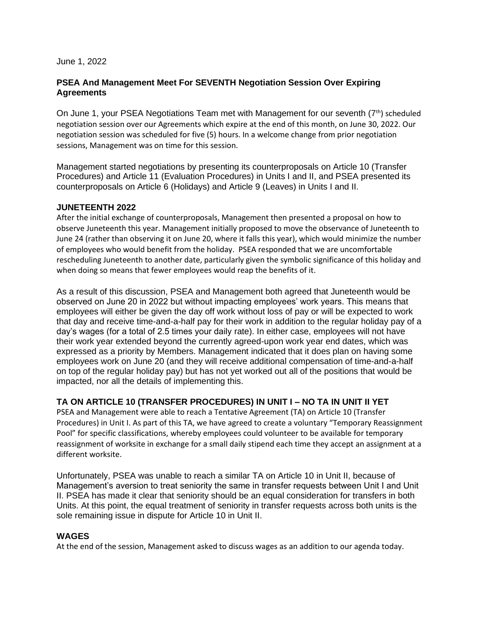#### June 1, 2022

## **PSEA And Management Meet For SEVENTH Negotiation Session Over Expiring Agreements**

On June 1, your PSEA Negotiations Team met with Management for our seventh (7<sup>th</sup>) scheduled negotiation session over our Agreements which expire at the end of this month, on June 30, 2022. Our negotiation session was scheduled for five (5) hours. In a welcome change from prior negotiation sessions, Management was on time for this session.

Management started negotiations by presenting its counterproposals on Article 10 (Transfer Procedures) and Article 11 (Evaluation Procedures) in Units I and II, and PSEA presented its counterproposals on Article 6 (Holidays) and Article 9 (Leaves) in Units I and II.

## **JUNETEENTH 2022**

After the initial exchange of counterproposals, Management then presented a proposal on how to observe Juneteenth this year. Management initially proposed to move the observance of Juneteenth to June 24 (rather than observing it on June 20, where it falls this year), which would minimize the number of employees who would benefit from the holiday. PSEA responded that we are uncomfortable rescheduling Juneteenth to another date, particularly given the symbolic significance of this holiday and when doing so means that fewer employees would reap the benefits of it.

As a result of this discussion, PSEA and Management both agreed that Juneteenth would be observed on June 20 in 2022 but without impacting employees' work years. This means that employees will either be given the day off work without loss of pay or will be expected to work that day and receive time-and-a-half pay for their work in addition to the regular holiday pay of a day's wages (for a total of 2.5 times your daily rate). In either case, employees will not have their work year extended beyond the currently agreed-upon work year end dates, which was expressed as a priority by Members. Management indicated that it does plan on having some employees work on June 20 (and they will receive additional compensation of time-and-a-half on top of the regular holiday pay) but has not yet worked out all of the positions that would be impacted, nor all the details of implementing this.

# **TA ON ARTICLE 10 (TRANSFER PROCEDURES) IN UNIT I – NO TA IN UNIT II YET**

PSEA and Management were able to reach a Tentative Agreement (TA) on Article 10 (Transfer Procedures) in Unit I. As part of this TA, we have agreed to create a voluntary "Temporary Reassignment Pool" for specific classifications, whereby employees could volunteer to be available for temporary reassignment of worksite in exchange for a small daily stipend each time they accept an assignment at a different worksite.

Unfortunately, PSEA was unable to reach a similar TA on Article 10 in Unit II, because of Management's aversion to treat seniority the same in transfer requests between Unit I and Unit II. PSEA has made it clear that seniority should be an equal consideration for transfers in both Units. At this point, the equal treatment of seniority in transfer requests across both units is the sole remaining issue in dispute for Article 10 in Unit II.

# **WAGES**

At the end of the session, Management asked to discuss wages as an addition to our agenda today.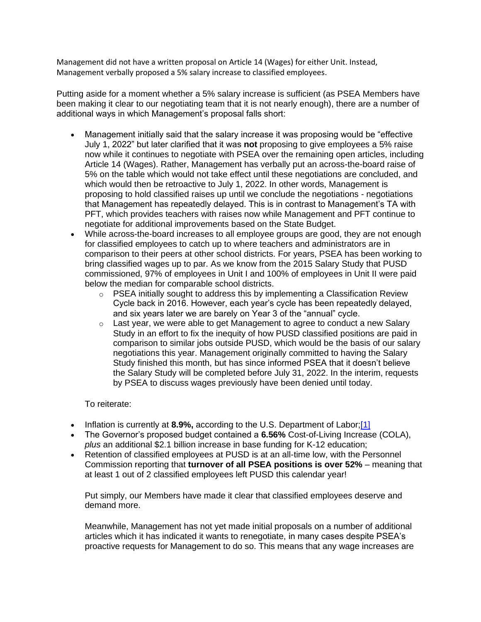Management did not have a written proposal on Article 14 (Wages) for either Unit. Instead, Management verbally proposed a 5% salary increase to classified employees.

Putting aside for a moment whether a 5% salary increase is sufficient (as PSEA Members have been making it clear to our negotiating team that it is not nearly enough), there are a number of additional ways in which Management's proposal falls short:

- Management initially said that the salary increase it was proposing would be "effective July 1, 2022" but later clarified that it was **not** proposing to give employees a 5% raise now while it continues to negotiate with PSEA over the remaining open articles, including Article 14 (Wages). Rather, Management has verbally put an across-the-board raise of 5% on the table which would not take effect until these negotiations are concluded, and which would then be retroactive to July 1, 2022. In other words, Management is proposing to hold classified raises up until we conclude the negotiations - negotiations that Management has repeatedly delayed. This is in contrast to Management's TA with PFT, which provides teachers with raises now while Management and PFT continue to negotiate for additional improvements based on the State Budget.
- While across-the-board increases to all employee groups are good, they are not enough for classified employees to catch up to where teachers and administrators are in comparison to their peers at other school districts. For years, PSEA has been working to bring classified wages up to par. As we know from the 2015 Salary Study that PUSD commissioned, 97% of employees in Unit I and 100% of employees in Unit II were paid below the median for comparable school districts.
	- o PSEA initially sought to address this by implementing a Classification Review Cycle back in 2016. However, each year's cycle has been repeatedly delayed, and six years later we are barely on Year 3 of the "annual" cycle.
	- $\circ$  Last year, we were able to get Management to agree to conduct a new Salary Study in an effort to fix the inequity of how PUSD classified positions are paid in comparison to similar jobs outside PUSD, which would be the basis of our salary negotiations this year. Management originally committed to having the Salary Study finished this month, but has since informed PSEA that it doesn't believe the Salary Study will be completed before July 31, 2022. In the interim, requests by PSEA to discuss wages previously have been denied until today.

## To reiterate:

- Inflation is currently at **8.9%,** according to the U.S. Department of Labor;[1]
- The Governor's proposed budget contained a **6.56%** Cost-of-Living Increase (COLA), *plus* an additional \$2.1 billion increase in base funding for K-12 education;
- Retention of classified employees at PUSD is at an all-time low, with the Personnel Commission reporting that **turnover of all PSEA positions is over 52%** – meaning that at least 1 out of 2 classified employees left PUSD this calendar year!

Put simply, our Members have made it clear that classified employees deserve and demand more.

Meanwhile, Management has not yet made initial proposals on a number of additional articles which it has indicated it wants to renegotiate, in many cases despite PSEA's proactive requests for Management to do so. This means that any wage increases are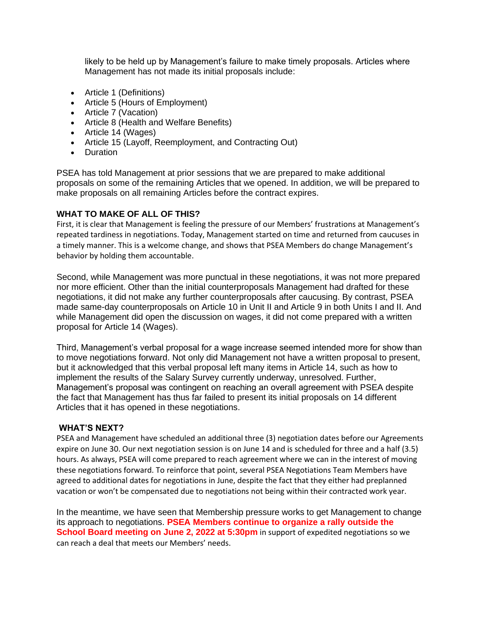likely to be held up by Management's failure to make timely proposals. Articles where Management has not made its initial proposals include:

- Article 1 (Definitions)
- Article 5 (Hours of Employment)
- Article 7 (Vacation)
- Article 8 (Health and Welfare Benefits)
- Article 14 (Wages)
- Article 15 (Layoff, Reemployment, and Contracting Out)
- Duration

PSEA has told Management at prior sessions that we are prepared to make additional proposals on some of the remaining Articles that we opened. In addition, we will be prepared to make proposals on all remaining Articles before the contract expires.

### **WHAT TO MAKE OF ALL OF THIS?**

First, it is clear that Management is feeling the pressure of our Members' frustrations at Management's repeated tardiness in negotiations. Today, Management started on time and returned from caucuses in a timely manner. This is a welcome change, and shows that PSEA Members do change Management's behavior by holding them accountable.

Second, while Management was more punctual in these negotiations, it was not more prepared nor more efficient. Other than the initial counterproposals Management had drafted for these negotiations, it did not make any further counterproposals after caucusing. By contrast, PSEA made same-day counterproposals on Article 10 in Unit II and Article 9 in both Units I and II. And while Management did open the discussion on wages, it did not come prepared with a written proposal for Article 14 (Wages).

Third, Management's verbal proposal for a wage increase seemed intended more for show than to move negotiations forward. Not only did Management not have a written proposal to present, but it acknowledged that this verbal proposal left many items in Article 14, such as how to implement the results of the Salary Survey currently underway, unresolved. Further, Management's proposal was contingent on reaching an overall agreement with PSEA despite the fact that Management has thus far failed to present its initial proposals on 14 different Articles that it has opened in these negotiations.

#### **WHAT'S NEXT?**

PSEA and Management have scheduled an additional three (3) negotiation dates before our Agreements expire on June 30. Our next negotiation session is on June 14 and is scheduled for three and a half (3.5) hours. As always, PSEA will come prepared to reach agreement where we can in the interest of moving these negotiations forward. To reinforce that point, several PSEA Negotiations Team Members have agreed to additional dates for negotiations in June, despite the fact that they either had preplanned vacation or won't be compensated due to negotiations not being within their contracted work year.

In the meantime, we have seen that Membership pressure works to get Management to change its approach to negotiations. **PSEA Members continue to organize a rally outside the School Board meeting on June 2, 2022 at 5:30pm** in support of expedited negotiations so we can reach a deal that meets our Members' needs.